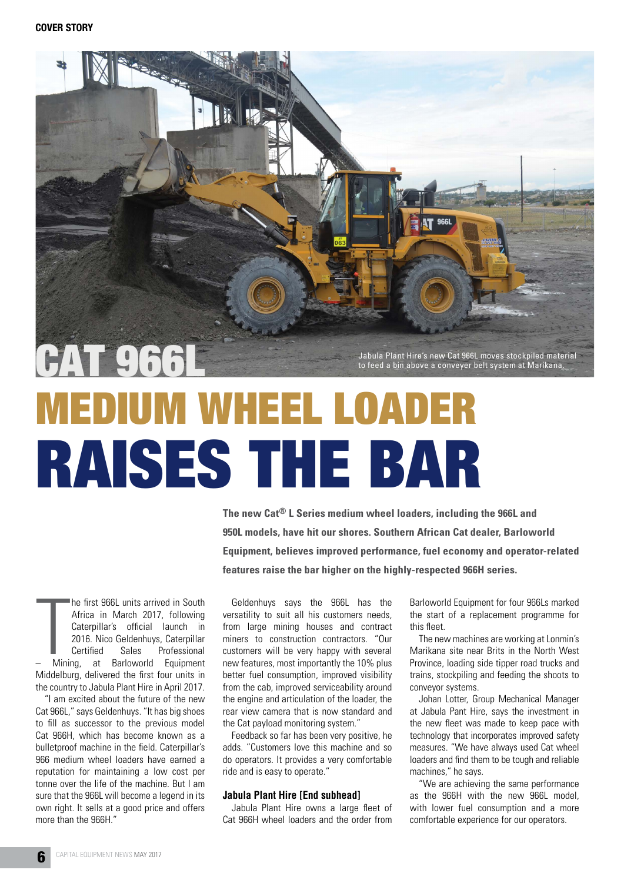

## **MEDIUM WHEEL LOAD** RAISES THE BAR

**The new Cat® L Series medium wheel loaders, including the 966L and 950L models, have hit our shores. Southern African Cat dealer, Barloworld Equipment, believes improved performance, fuel economy and operator-related features raise the bar higher on the highly-respected 966H series.**

 $\prod$ <br> $\frac{1}{\text{Minin}}$ he first 966L units arrived in South Africa in March 2017, following Caterpillar's official launch in 2016. Nico Geldenhuys, Caterpillar Certified Sales Professional – Mining, at Barloworld Equipment Middelburg, delivered the first four units in the country to Jabula Plant Hire in April 2017.

"I am excited about the future of the new Cat 966L," says Geldenhuys. "It has big shoes to fill as successor to the previous model Cat 966H, which has become known as a bulletproof machine in the field. Caterpillar's 966 medium wheel loaders have earned a reputation for maintaining a low cost per tonne over the life of the machine. But I am sure that the 966L will become a legend in its own right. It sells at a good price and offers more than the 966H."

Geldenhuys says the 966L has the versatility to suit all his customers needs, from large mining houses and contract miners to construction contractors. "Our customers will be very happy with several new features, most importantly the 10% plus better fuel consumption, improved visibility from the cab, improved serviceability around the engine and articulation of the loader, the rear view camera that is now standard and the Cat payload monitoring system."

Feedback so far has been very positive, he adds. "Customers love this machine and so do operators. It provides a very comfortable ride and is easy to operate."

## **Jabula Plant Hire [End subhead]**

Jabula Plant Hire owns a large fleet of Cat 966H wheel loaders and the order from

Barloworld Equipment for four 966Ls marked the start of a replacement programme for this fleet.

The new machines are working at Lonmin's Marikana site near Brits in the North West Province, loading side tipper road trucks and trains, stockpiling and feeding the shoots to conveyor systems.

Johan Lotter, Group Mechanical Manager at Jabula Pant Hire, says the investment in the new fleet was made to keep pace with technology that incorporates improved safety measures. "We have always used Cat wheel loaders and find them to be tough and reliable machines," he says.

"We are achieving the same performance as the 966H with the new 966L model, with lower fuel consumption and a more comfortable experience for our operators.